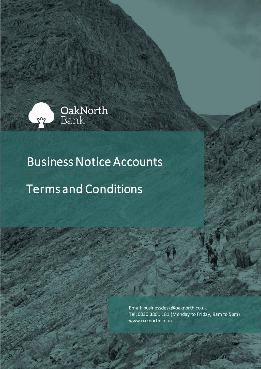

# Business Notice Accounts

# Terms and Conditions

Email: businessdesk@oaknorth.co.uk Tel: 0330 3801 181 (Monday to Friday, 9am to 5pm) [www.oaknorth.co.uk](file:///C:/Users/sanjay.khurana/AppData/Local/Microsoft/Windows/INetCache/Content.Outlook/I0MHLQZ1/www.oaknorth.co.uk)

OakNorth Bank - Business Notice Accounts– Terms and Conditions Page **1**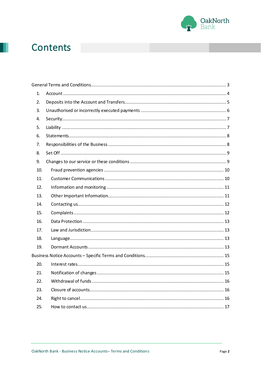

# **Contents**

| 1.  |  |
|-----|--|
| 2.  |  |
| 3.  |  |
| 4.  |  |
| 5.  |  |
| 6.  |  |
| 7.  |  |
| 8.  |  |
| 9.  |  |
| 10. |  |
| 11. |  |
| 12. |  |
| 13. |  |
| 14. |  |
| 15. |  |
| 16. |  |
| 17. |  |
| 18. |  |
| 19. |  |
|     |  |
| 20. |  |
| 21. |  |
| 22. |  |
| 23. |  |
| 24. |  |
| 25. |  |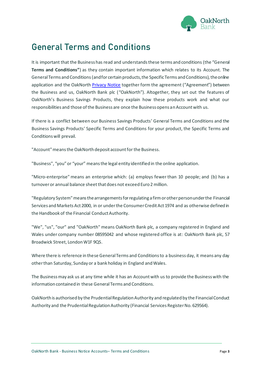

# <span id="page-2-0"></span>**General Terms and Conditions**

It is important that the Business has read and understands these terms and conditions (the "General **Terms and Conditions"**) as they contain important information which relates to its Account. The General Terms and Conditions (and for certain products, the Specific Terms and Conditions), the online application and the OakNorth [Privacy Notice](https://www.oaknorth.co.uk/privacy-notice/privacy-notice-deposit-products/) together form the agreement ("Agreement") between the Business and us, OakNorth Bank plc ("OakNorth"). Altogether, they set out the features of OakNorth's Business Savings Products, they explain how these products work and what our responsibilities and those of the Business are once the Business opens an Account with us.

If there is a conflict between our Business Savings Products' General Terms and Conditions and the Business Savings Products' Specific Terms and Conditions for your product, the Specific Terms and Conditions will prevail.

"Account"means the OakNorth deposit account for the Business.

"Business", "you" or "your" means the legal entity identified in the online application.

"Micro-enterprise" means an enterprise which: (a) employs fewer than 10 people; and (b) has a turnover or annual balance sheet that does not exceed Euro 2 million.

"Regulatory System" means the arrangements for regulating a firm or other person under the Financial Services and Markets Act 2000, in or under the Consumer Credit Act 1974 and as otherwise defined in the Handbook of the Financial Conduct Authority.

"We", "us", "our" and "OakNorth" means OakNorth Bank plc, a company registered in England and Wales under company number 08595042 and whose registered office is at: OakNorth Bank plc, 57 Broadwick Street, London W1F 9QS.

Where there is reference in these General Terms and Conditions to a business day, it means any day other than Saturday, Sunday or a bank holiday in England and Wales.

The Business may ask us at any time while it has an Account with us to provide the Business with the information contained in these General Terms and Conditions.

OakNorth is authorised by the Prudential Regulation Authority and regulated by the Financial Conduct Authority and the Prudential Regulation Authority (Financial Services Register No. 629564).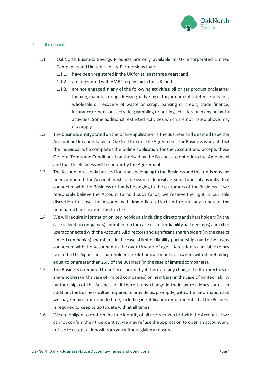

## <span id="page-3-0"></span>1. **Account**

- 1.1. OakNorth Business Savings Products are only available to UK incorporated Limited Companies and Limited Liability Partnerships that:
	- 1.1.1. have been registered in the UK for at least three years; and
	- 1.1.2. are registered with HMRC to pay tax in the UK; and
	- 1.1.3. are not engaged in any of the following activities: oil or gas production; leather tanning; manufacturing, dressing or dyeing of fur; armaments; defence activities; wholesale or recovery of waste or scrap; banking or credit; trade finance; insurance or pensions activities; gambling or betting activities or in any unlawful activities. Some additional restricted activities which are not listed above may also apply.
- 1.2. The business entity stated on the online application is the Business and deemed to be the Account holder and is liable to OakNorth under the Agreement. The Business warrants that the individual who completes the online application for the Account and accepts these General Terms and Conditions is authorised by the Business to enter into the Agreement and that the Business will be bound by the Agreement.
- 1.3. The Account must only be used for funds belonging to the Business and the funds must be unencumbered. The Account must not be used to deposit personal funds of any individual connected with the Business or funds belonging to the customers of the Business. If we reasonably believe the Account to hold such funds, we reserve the right in our sole discretion to close the Account with immediate effect and return any funds to the nominated bank account held on file.
- 1.4. We will require information on key individuals including directors and shareholders (in the case of limited companies), members (in the case of limited liability partnerships) and other users connected with the Account. All directors and significant shareholders (in the case of limited companies), members (in the case of limited liability partnerships) and other users connected with the Account must be over 18 years of age, UK residents and liable to pay tax in the UK. Significant shareholders are defined as beneficial owners with shareholding equal to or greater than 25% of the Business (in the case of limited companies).
- 1.5. The Business is required to notify us promptly if there are any changes to the directors or shareholders (in the case of limited companies) or members (in the case of limited liability partnerships) of the Business or if there is any change in their tax residency status. In addition, the Business will be required to provide us, promptly, with other information that we may require from time to time, including identification requirements that the Business is required to keep us up to date with at all times.
- 1.6. We are obliged to confirm the true identity of all users connected with the Account. If we cannot confirm their true identity, we may refuse the application to open an account and refuse to accept a deposit from you without giving a reason.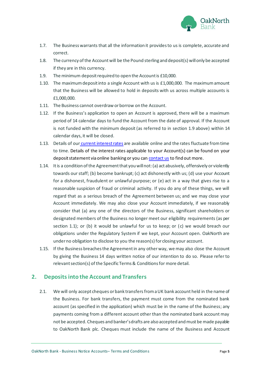

- 1.7. The Business warrants that all the information it provides to us is complete, accurate and correct.
- 1.8. The currency of the Account will be the Pound sterling and deposit(s) will only be accepted if they are in this currency.
- 1.9. The minimum deposit required to open the Account is £10,000.
- 1.10. The maximum deposit into a single Account with us is £1,000,000. The maximum amount that the Business will be allowed to hold in deposits with us across multiple accounts is £1,000,000.
- 1.11. The Business cannot overdraw or borrow on the Account.
- 1.12. If the Business's application to open an Account is approved, there will be a maximum period of 14 calendar days to fund the Account from the date of approval. If the Account is not funded with the minimum deposit (as referred to in section 1.9 above) within 14 calendar days, it will be closed.
- 1.13. Details of our [current interest rates](https://www.oaknorth.co.uk/business-savings/) are available online and the rates fluctuate from time to time. Details of the interest rates applicable to your Account(s) can be found on your deposit statement via online banking or you ca[n contact us](https://www.oaknorth.co.uk/resources/get-in-touch/) to find out more.
- 1.14. It is a condition of the Agreement that you will not: (a) act abusively, offensively or violently towards our staff; (b) become bankrupt; (c) act dishonestly with us; (d) use your Account for a dishonest, fraudulent or unlawful purpose; or (e) act in a way that gives rise to a reasonable suspicion of fraud or criminal activity. If you do any of these things, we will regard that as a serious breach of the Agreement between us; and we may close your Account immediately. We may also close your Account immediately, if we reasonably consider that (a) any one of the directors of the Business, significant shareholders or designated members of the Business no longer meet our eligibility requirements (as per section 1.1); or (b) it would be unlawful for us to keep; or (c) we would breach our obligations under the Regulatory System if we kept, your Account open. OakNorth are under no obligation to disclose to you the reason(s) for closing your account.
- 1.15. If the Business breachesthe Agreementin any otherway, we may also close the Account by giving the Business 14 days written notice of our intention to do so. Please refer to relevant section(s) of the Specific Terms & Conditions for more detail.

### <span id="page-4-0"></span>**2. Depositsinto the Account and Transfers**

2.1. We will only accept cheques or bank transfersfrom a UK bank account held in the name of the Business. For bank transfers, the payment must come from the nominated bank account (as specified in the application) which must be in the name of the Business; any payments coming from a different account other than the nominated bank account may not be accepted. Cheques and banker's drafts are also accepted and must be made payable to OakNorth Bank plc. Cheques must include the name of the Business and Account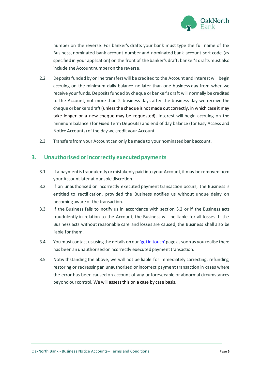

number on the reverse. For banker's drafts your bank must type the full name of the Business, nominated bank account number and nominated bank account sort code (as specified in your application) on the front of the banker's draft; banker's drafts must also include the Account number on the reverse.

- 2.2. Deposits funded by online transfers will be credited to the Account and interest will begin accruing on the minimum daily balance no later than one business day from when we receive your funds. Deposits funded by cheque or banker's draft will normally be credited to the Account, not more than 2 business days after the business day we receive the cheque or bankers draft(unless the cheque is not made out correctly, in which case it may take longer or a new cheque may be requested). Interest will begin accruing on the minimum balance (for Fixed Term Deposits) and end of day balance (for Easy Access and Notice Accounts) of the day we credit your Account.
- 2.3. Transfers from your Account can only be made to your nominated bank account.

#### <span id="page-5-0"></span>**3. Unauthorised or incorrectly executed payments**

- 3.1. If a payment is fraudulently or mistakenly paid into your Account, it may be removed from your Account later at our sole discretion.
- 3.2. If an unauthorised or incorrectly executed payment transaction occurs, the Business is entitled to rectification, provided the Business notifies us without undue delay on becoming aware of the transaction.
- 3.3. If the Business fails to notify us in accordance with section 3.2 or if the Business acts fraudulently in relation to the Account, the Business will be liable for all losses. If the Business acts without reasonable care and losses are caused, the Business shall also be liable for them.
- 3.4. You must contact us using the details on ou[r 'get in touch'](https://www.oaknorth.co.uk/resources/get-in-touch/) page as soon as you realise there has been an unauthorised or incorrectly executed payment transaction.
- 3.5. Notwithstanding the above, we will not be liable for immediately correcting, refunding, restoring or redressing an unauthorised or incorrect payment transaction in cases where the error has been caused on account of any unforeseeable or abnormal circumstances beyond our control. We will assess this on a case by case basis.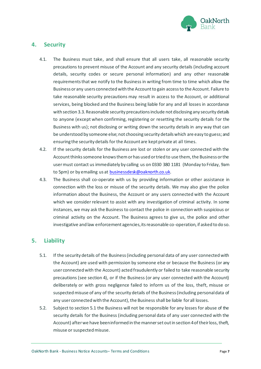

### <span id="page-6-0"></span>**4. Security**

- 4.1. The Business must take, and shall ensure that all users take, all reasonable security precautions to prevent misuse of the Account and any security details (including account details, security codes or secure personal information) and any other reasonable requirements that we notify to the Business in writing from time to time which allow the Business or any users connected with the Account to gain access to the Account. Failure to take reasonable security precautions may result in access to the Account, or additional services, being blocked and the Business being liable for any and all losses in accordance with section 3.3. Reasonable security precautions include not disclosing any security details to anyone (except when confirming, registering or resetting the security details for the Business with us); not disclosing or writing down the security details in any way that can be understood by someone else; not choosing security details which are easy to guess; and ensuring the security details for the Account are kept private at all times.
- 4.2. If the security details for the Business are lost or stolen or any user connected with the Account thinks someone knows them or has used or tried to use them, the Business or the user must contact us immediately by calling us on 0330 380 1181 (Monday to Friday, 9am to 5pm) or by emailing us at [businessdesk@oaknorth.co.uk](file:///C:/Users/stella.demades/AppData/Local/Microsoft/Windows/INetCache/Content.Outlook/BID6RVBX/businessdesk@oaknorth.co.uk).
- 4.3. The Business shall co-operate with us by providing information or other assistance in connection with the loss or misuse of the security details. We may also give the police information about the Business, the Account or any users connected with the Account which we consider relevant to assist with any investigation of criminal activity. In some instances, we may ask the Business to contact the police in connection with suspicious or criminal activity on the Account. The Business agrees to give us, the police and other investigative and law enforcement agencies, its reasonable co-operation, if asked to do so.

# <span id="page-6-1"></span>**5. Liability**

- 5.1. If the security details of the Business (including personal data of any user connected with the Account) are used with permission by someone else or because the Business (or any user connected with the Account) acted fraudulently or failed to take reasonable security precautions (see section 4), or if the Business (or any user connected with the Account) deliberately or with gross negligence failed to inform us of the loss, theft, misuse or suspected misuse of any of the security details of the Business (including personal data of any user connected with the Account), the Business shall be liable for all losses.
- 5.2. Subject to section 5.1 the Business will not be responsible for any losses for abuse of the security details for the Business (including personal data of any user connected with the Account) after we have been informed in the manner set out in section 4 of their loss, theft, misuse or suspected misuse.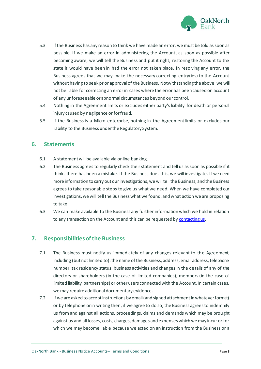

- 5.3. If the Business has any reason to think we have made an error, we must be told as soon as possible. If we make an error in administering the Account, as soon as possible after becoming aware, we will tell the Business and put it right, restoring the Account to the state it would have been in had the error not taken place. In resolving any error, the Business agrees that we may make the necessary correcting entry(ies) to the Account without having to seek prior approval of the Business. Notwithstanding the above, we will not be liable for correcting an error in cases where the error has been caused on account of any unforeseeable or abnormal circumstances beyond our control.
- 5.4. Nothing in the Agreement limits or excludes either party's liability for death or personal injury caused by negligence or for fraud.
- 5.5. If the Business is a Micro-enterprise, nothing in the Agreement limits or excludes our liability to the Business under the Regulatory System.

#### <span id="page-7-0"></span>**6. Statements**

- 6.1. A statement will be available via online banking.
- 6.2. The Business agrees to regularly check theirstatement and tell us as soon as possible if it thinks there has been a mistake. If the Business does this, we will investigate. If we need more information to carry out our investigations, we will tell the Business, and the Business agrees to take reasonable steps to give us what we need. When we have completed our investigations, we will tell the Business what we found, and what action we are proposing to take.
- 6.3. We can make available to the Business any further information which we hold in relation to any transaction on the Account and this can be requested b[y contacting us.](https://www.oaknorth.co.uk/resources/get-in-touch/)

### <span id="page-7-1"></span>**7. Responsibilities of the Business**

- 7.1. The Business must notify us immediately of any changes relevant to the Agreement, including (but not limited to): the name of the Business, address, email address, telephone number, tax residency status, business activities and changes in the details of any of the directors or shareholders (in the case of limited companies), members (in the case of limited liability partnerships) or other users connected with the Account. In certain cases, we may require additional documentary evidence.
- 7.2. If we are asked to accept instructions by email (and signed attachment in whatever format) or by telephone or in writing then, if we agree to do so, the Business agrees to indemnify us from and against all actions, proceedings, claims and demands which may be brought against us and all losses, costs, charges, damages and expenses which we may incur or for which we may become liable because we acted on an instruction from the Business or a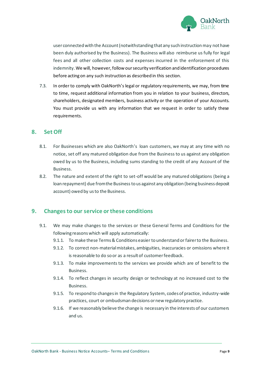

user connected with the Account (notwithstanding that any such instruction may not have been duly authorised by the Business). The Business will also reimburse us fully for legal fees and all other collection costs and expenses incurred in the enforcement of this indemnity. We will, however, follow our security verification and identification procedures before acting on any such instruction as described in this section.

7.3. In order to comply with OakNorth's legal or regulatory requirements, we may, from time to time, request additional information from you in relation to your business, directors, shareholders, designated members, business activity or the operation of your Accounts. You must provide us with any information that we request in order to satisfy these requirements.

#### <span id="page-8-0"></span>**8. Set Off**

- 8.1. For Businesses which are also OakNorth's loan customers, we may at any time with no notice, set off any matured obligation due from the Business to us against any obligation owed by us to the Business, including sums standing to the credit of any Account of the Business.
- 8.2. The nature and extent of the right to set-off would be any matured obligations (being a loan repayment) due from the Business to us against any obligation (being business deposit account) owed by us to the Business.

### <span id="page-8-1"></span>**9. Changes to our service or these conditions**

- 9.1. We may make changes to the services or these General Terms and Conditions for the following reasons which will apply automatically:
	- 9.1.1. To make these Terms & Conditions easier to understand or fairer to the Business.
	- 9.1.2. To correct non-material mistakes, ambiguities, inaccuracies or omissions where it is reasonable to do so or as a result of customer feedback.
	- 9.1.3. To make improvements to the services we provide which are of benefit to the Business.
	- 9.1.4. To reflect changes in security design or technology at no increased cost to the Business.
	- 9.1.5. To respond to changes in the Regulatory System, codes of practice, industry-wide practices, court or ombudsman decisions or new regulatory practice.
	- 9.1.6. If we reasonably believe the change is necessary in the interests of our customers and us.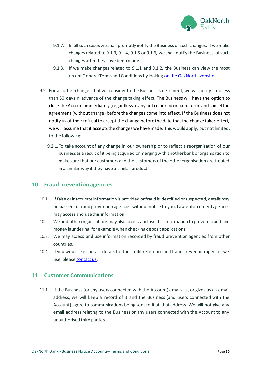

- 9.1.7. In all such cases we shall promptly notify the Business of such changes. If we make changes related to 9.1.3, 9.1.4, 9.1.5 or 9.1.6, we shall notify the Business of such changes after they have been made.
- 9.1.8. If we make changes related to 9.1.1 and 9.1.2, the Business can view the most recent General Terms and Conditions by looking on th[e OakNorth website.](https://www.oaknorth.co.uk/terms-and-conditions)
- 9.2. For all other changes that we consider to the Business's detriment, we will notify it no less than 30 days in advance of the change taking effect. The Business will have the option to close the Account immediately (regardless of any notice period or fixed term) and cancel the agreement (without charge) before the changes come into effect. If the Business does not notify us of their refusal to accept the change before the date that the change takes effect, we will assume that it accepts the changes we have made. This would apply, but not limited, to the following:
	- 9.2.1.To take account of any change in our ownership or to reflect a reorganisation of our business as a result of it being acquired or merging with another bank or organisation to make sure that our customers and the customers of the other organisation are treated in a similar way if they have a similar product.

#### <span id="page-9-0"></span>**10. Fraud prevention agencies**

- 10.1. If false or inaccurate information is provided orfraud is identified or suspected, details may be passed to fraud prevention agencies without notice to you. Law enforcement agencies may access and use this information.
- 10.2. We and other organisations may also access and use this information to prevent fraud and money laundering, for example when checking deposit applications.
- 10.3. We may access and use information recorded by fraud prevention agencies from other countries.
- 10.4. If you would like contact details for the credit reference and fraud prevention agencies we use, please [contact us.](https://www.oaknorth.co.uk/resources/get-in-touch/)

#### <span id="page-9-1"></span>**11. Customer Communications**

11.1. If the Business (or any users connected with the Account) emails us, or gives us an email address, we will keep a record of it and the Business (and users connected with the Account) agree to communications being sent to it at that address. We will not give any email address relating to the Business or any users connected with the Account to any unauthorised third parties.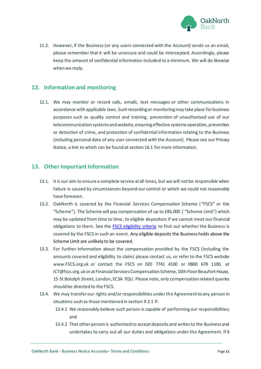

11.2. However, if the Business (or any users connected with the Account) sends us an email, please remember that it will be unsecure and could be intercepted. Accordingly, please keep the amount of confidential information included to a minimum. We will do likewise when we reply.

## <span id="page-10-0"></span>**12. Information and monitoring**

12.1. We may monitor or record calls, emails, text messages or other communications in accordance with applicable laws. Such recording or monitoring may take place for business purposes such as quality control and training, prevention of unauthorised use of our telecommunication systems and website, ensuring effective systems operation, prevention or detection of crime, and protection of confidential information relating to the Business (including personal data of any user connected with the Account). Please see our Privacy Notice, a link to which can be found at section 16.1 for more information.

### <span id="page-10-1"></span>**13. Other Important Information**

- 13.1. It is our aim to ensure a complete service at all times, but we will not be responsible when failure is caused by circumstances beyond our control or which we could not reasonably have foreseen.
- 13.2. OakNorth is covered by the Financial Services Compensation Scheme ( "FSCS" or the "Scheme"). The Scheme will pay compensation of up to £85,000 ( "Scheme Limit") which may be updated from time to time, to eligible depositors if we cannot meet our financial obligations to them. See the **FSCS eligibility criteria** to find out whether the Business is covered by the FSCS in such an event. Any eligible deposits the Business holds above the Scheme Limit are unlikely to be covered.
- 13.3. For further information about the compensation provided by the FSCS (including the amounts covered and eligibility to claim) please contact us, or refer to the FSCS website www.FSCS.org.uk or contact the FSCS on 020 7741 4100 or 0800 678 1100, at ICT@fscs.org.uk or at Financial Services Compensation Scheme, 10th Floor Beaufort House, 15 St Botolph Street, London, EC3A 7QU. Please note, only compensation related queries should be directed to the FSCS.
- 13.4. We may transfer our rights and/or responsibilities under the Agreement to any person in situations such as those mentioned in section 9.2.1 if:
	- 13.4.1 We reasonably believe such person is capable of performing our responsibilities; and
	- 13.4.2 That other person is authorised to accept deposits and writes to the Business and undertakes to carry out all our duties and obligations under the Agreement. If it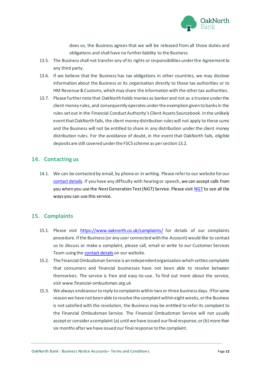

does so, the Business agrees that we will be released from all those duties and obligations and shall have no further liability to the Business.

- 13.5. The Business shall not transfer any of its rights or responsibilities under the Agreement to any third party.
- 13.6. If we believe that the Business has tax obligations in other countries, we may disclose information about the Business or its organisation directly to those tax authorities or to HM Revenue & Customs, which may share the information with the other tax authorities.
- 13.7. Please further note that OakNorth holds monies as banker and not as a trustee under the client money rules, and consequently operates under the exemption given to banks in the rules set out in the Financial Conduct Authority's Client Assets Sourcebook. In the unlikely event that OakNorth fails, the client money distribution rules will not apply to these sums and the Business will not be entitled to share in any distribution under the client money distribution rules. For the avoidance of doubt, in the event that OakNorth fails, eligible deposits are still covered under the FSCS scheme as per section 13.2.

#### <span id="page-11-0"></span>**14. Contacting us**

14.1. We can be contacted by email, by phone or in writing. Please refer to our website for our [contact details.](https://www.oaknorth.co.uk/resources/get-in-touch/) If you have any difficulty with hearing or speech, we can accept calls from you when you use the Next Generation Text (NGT) Service. Please visi[t NGT](http://ngts.org.uk/) to see all the ways you can use this service.

### <span id="page-11-1"></span>**15. Complaints**

- 15.1. Please visit [https://www.oaknorth.co.uk/complaints/](https://www.oaknorth.co.uk/complaints) for details of our complaints procedure. If the Business (or any user connected with the Account) would like to contact us to discuss or make a complaint, please call, email or write to our Customer Services Team using th[e contact details](https://www.oaknorth.co.uk/resources/get-in-touch/) on our website.
- 15.2. The Financial Ombudsman Service is an independent organisation which settles complaints that consumers and financial businesses have not been able to resolve between themselves. The service is free and easy-to-use. To find out more about the service, visit [www.financial-ombudsman.org.uk](http://www.financial-ombudsman.org.uk/)
- 15.3. We always endeavour to reply to complaints within two or three business days. If for some reason we have not been able to resolve the complaint within eight weeks, or the Business is not satisfied with the resolution, the Business may be entitled to refer its complaint to the Financial Ombudsman Service. The Financial Ombudsman Service will not usually accept or consider a complaint (a) until we have issued our final response; or (b) more than six months after we have issued our final response to the complaint.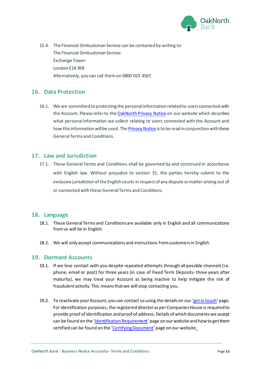

15.4. The Financial Ombudsman Service can be contacted by writing to: The Financial Ombudsman Service Exchange Tower London E14 9SR Alternatively, you can call themon 0800 023 4567.

## <span id="page-12-0"></span>**16. Data Protection**

16.1. We are committed to protecting the personal information related to users connected with the Account. Please refer to the [OakNorth Privacy Notice](https://www.oaknorth.co.uk/privacy-notice/privacy-notice-deposit-products/) on our website which describes what personal information we collect relating to users connected with the Account and how this information will be used. Th[e Privacy Notice](https://www.oaknorth.co.uk/privacy-notice/privacy-notice-deposit-products/) is to be read in conjunction with these General Terms and Conditions.

#### <span id="page-12-1"></span>**17. Law and Jurisdiction**

17.1. These General Terms and Conditions shall be governed by and construed in accordance with English law. Without prejudice to section 15, the parties hereby submit to the exclusive jurisdiction of the English courts in respect of any dispute or matter arising out of or connected with these General Terms and Conditions.

#### <span id="page-12-2"></span>**18. Language**

- 18.1. These General Terms and Conditions are available only in English and all communications from us will be in English.
- 18.2. We will only accept communications and instructions from customers in English.

#### <span id="page-12-3"></span>**19. Dormant Accounts**

- 19.1. If we lose contact with you despite repeated attempts through all possible channels (i.e. phone, email or post) for three years (in case of Fixed Term Deposits- three years after maturity), we may treat your Account as being inactive to help mitigate the risk of fraudulent activity. This means that we will stop contacting you.
- 19.2. To reactivate your Account, you can contact us using the details on our '[get in touch](https://www.oaknorth.co.uk/resources/get-in-touch/)' page. For identification purposes, the registered director as per Companies House is required to provide proof of identification and proof of address.Details of which documents we accept can be found on the '[Identification Requirement](https://www.oaknorth.co.uk/identification-requirements/)' page on our website and how to get them certified can be found on the '[Certifying Document](https://www.oaknorth.co.uk/certifying-documents/)' page on our websit[e.](https://www.oaknorth.co.uk/certifying-documents/)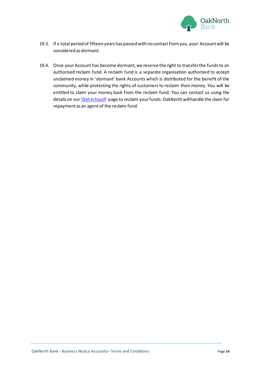

- 19.3. If a total period of fifteen years has passed with no contact from you, your Account will be considered as dormant.
- 19.4. Once your Account has become dormant, we reserve the right to transfer the funds to an authorised reclaim fund. A reclaim fund is a separate organisation authorised to accept unclaimed money in 'dormant' bank Accounts which is distributed for the benefit of the community, while protecting the rights of customers to reclaim their money. You will be entitled to claim your money back from the reclaim fund. You can contact us using the details on our ['Get in touch'](https://www.oaknorth.co.uk/resources/get-in-touch/) page to reclaim your funds. OakNorth will handle the claim for repayment as an agent of the reclaim fund.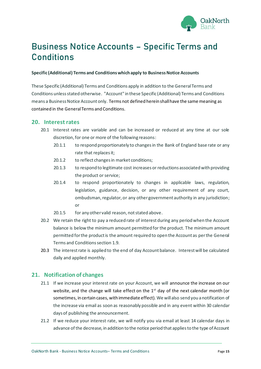

# <span id="page-14-0"></span>**Business Notice Accounts – Specific Terms and Conditions**

#### **Specific (Additional) Terms and Conditions which apply to Business Notice Accounts**

These Specific (Additional) Terms and Conditions apply in addition to the General Terms and Conditions unless stated otherwise. "Account" in these Specific (Additional) Terms and Conditions means a Business Notice Account only. Terms not defined herein shall have the same meaning as contained in the General Terms and Conditions.

#### <span id="page-14-1"></span>**20. Interest rates**

- 20.1 Interest rates are variable and can be increased or reduced at any time at our sole discretion, for one or more of the following reasons:
	- 20.1.1 to respond proportionately to changes in the Bank of England base rate or any rate that replaces it;
	- 20.1.2 to reflect changes in market conditions;
	- 20.1.3 to respond to legitimate cost increases or reductions associated with providing the product or service;
	- 20.1.4 to respond proportionately to changes in applicable laws, regulation, legislation, guidance, decision, or any other requirement of any court, ombudsman, regulator, or any other government authority in any jurisdiction; or
	- 20.1.5 for any other valid reason, not stated above.
- 20.2 We retain the right to pay a reduced rate of interest during any period when the Account balance is below the minimum amount permitted for the product. The minimum amount permitted for the product is the amount required to open the Account as per the General Terms and Conditions section 1.9.
- 20.3 The interest rate is applied to the end of day Account balance. Interest will be calculated daily and applied monthly.

#### <span id="page-14-2"></span>**21. Notification of changes**

- 21.1 If we increase your interest rate on your Account, we will announce the increase on our website, and the change will take effect on the  $1<sup>st</sup>$  day of the next calendar month (or sometimes, in certain cases, with immediate effect). We willalso send you a notification of the increase via email as soon as reasonably possible and in any event within 30 calendar days of publishing the announcement.
- 21.2 If we reduce your interest rate, we will notify you via email at least 14 calendar days in advance of the decrease, in addition to the notice period that applies to the type of Account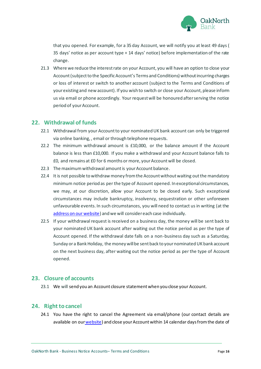

that you opened. For example, for a 35 day Account, we will notify you at least 49 days ( 35 days' notice as per account type + 14 days' notice) before implementation of the rate change.

21.3 Where we reduce the interest rate on your Account, you will have an option to close your Account(subject to the Specific Account's Terms and Conditions) without incurring charges or loss of interest or switch to another account (subject to the Terms and Conditions of your existing and new account). If you wish to switch or close your Account, please inform us via email or phone accordingly. Your request will be honoured after serving the notice period of your Account.

#### <span id="page-15-0"></span>**22. Withdrawal of funds**

- 22.1 Withdrawal from your Account to your nominated UK bank account can only be triggered via online banking, , email or through telephone requests.
- 22.2 The minimum withdrawal amount is £10,000, or the balance amount if the Account balance is less than £10,000. If you make a withdrawal and your Account balance falls to £0, and remains at £0 for 6 months or more, your Account will be closed.
- 22.3 The maximum withdrawal amount is your Account balance.
- 22.4 It is not possible to withdraw money from the Account without waiting out the mandatory minimum notice period as per the type of Account opened. In exceptional circumstances, we may, at our discretion, allow your Account to be closed early. Such exceptional circumstances may include bankruptcy, insolvency, sequestration or other unforeseen unfavourable events. In such circumstances, you will need to contact us in writing (at the [address on our website\)](https://www.oaknorth.co.uk/resources/get-in-touch/) and we will consider each case individually.
- 22.5 If your withdrawal request is received on a business day, the money will be sent back to your nominated UK bank account after waiting out the notice period as per the type of Account opened. If the withdrawal date falls on a non-business day such as a Saturday, Sunday or a Bank Holiday, the money will be sent back to your nominated UK bank account on the next business day, after waiting out the notice period as per the type of Account opened.

#### <span id="page-15-1"></span>**23. Closure of accounts**

23.1 We will send you an Account closure statement when you close your Account.

#### <span id="page-15-2"></span>**24. Right to cancel**

24.1 You have the right to cancel the Agreement via email/phone (our contact details are available [on](https://www.oaknorth.co.uk/resources/get-in-touch/) ou[rwebsite\)](https://www.oaknorth.co.uk/resources/get-in-touch/) and close your Account within 14 calendar days from the date of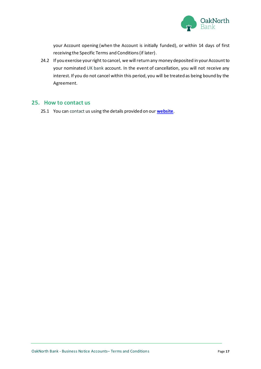

your Account opening (when the Account is initially funded), or within 14 days of first receiving the Specific Terms and Conditions (if later).

24.2 If you exercise your right to cancel, we will return any money deposited in your Account to your nominated UK bank account. In the event of cancellation, you will not receive any interest. If you do not cancel within this period, you will be treated as being bound by the Agreement.

#### <span id="page-16-0"></span>**25. How to contact us**

25.1 You can contact us using the details provided on our **[website](https://www.oaknorth.co.uk/resources/get-in-touch/)**.